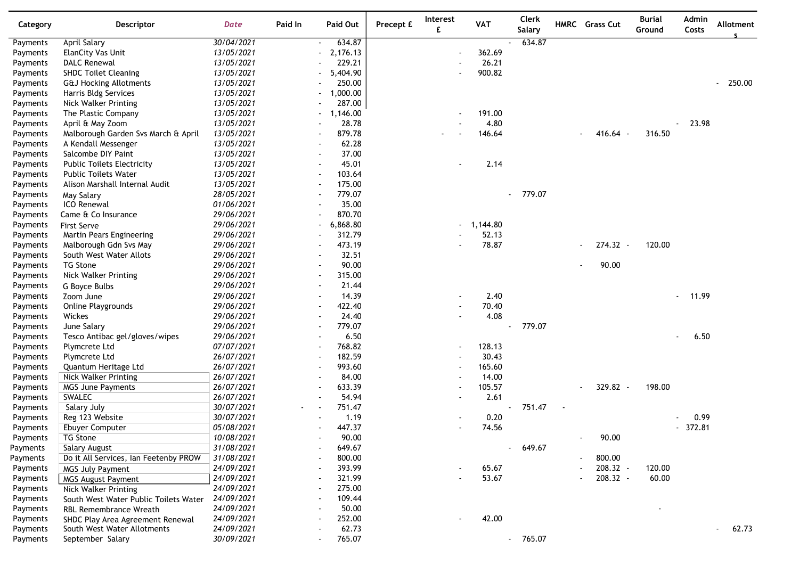| Category | Descriptor                            | <b>Date</b> | Paid In | Paid Out                           | Precept £ | Interest<br>£            | <b>VAT</b> | <b>Clerk</b><br><b>Salary</b> |        | HMRC Grass Cut                     | <b>Burial</b><br>Ground | Admin<br>Costs  | Allotment |
|----------|---------------------------------------|-------------|---------|------------------------------------|-----------|--------------------------|------------|-------------------------------|--------|------------------------------------|-------------------------|-----------------|-----------|
| Payments | April Salary                          | 30/04/2021  |         | 634.87<br>$\sim$                   |           |                          |            | 634.87                        |        |                                    |                         |                 |           |
| Payments | ElanCity Vas Unit                     | 13/05/2021  |         | 2,176.13                           |           |                          | 362.69     |                               |        |                                    |                         |                 |           |
| Payments | <b>DALC Renewal</b>                   | 13/05/2021  |         | 229.21                             |           |                          | 26.21      |                               |        |                                    |                         |                 |           |
| Payments | <b>SHDC Toilet Cleaning</b>           | 13/05/2021  |         | 5,404.90                           |           |                          | 900.82     |                               |        |                                    |                         |                 |           |
| Payments | <b>G&amp;J Hocking Allotments</b>     | 13/05/2021  |         | 250.00                             |           |                          |            |                               |        |                                    |                         |                 | $-250.00$ |
| Payments | Harris Bldg Services                  | 13/05/2021  |         | 1,000.00                           |           |                          |            |                               |        |                                    |                         |                 |           |
| Payments | Nick Walker Printing                  | 13/05/2021  |         | 287.00                             |           |                          |            |                               |        |                                    |                         |                 |           |
| Payments | The Plastic Company                   | 13/05/2021  |         | 1,146.00<br>$\sim$                 |           |                          | 191.00     |                               |        |                                    |                         |                 |           |
| Payments | April & May Zoom                      | 13/05/2021  |         | 28.78                              |           |                          | 4.80       |                               |        |                                    |                         | 23.98           |           |
| Payments | Malborough Garden Svs March & April   | 13/05/2021  |         | 879.78                             |           |                          | 146.64     |                               |        | $416.64 -$                         | 316.50                  |                 |           |
| Payments | A Kendall Messenger                   | 13/05/2021  |         | 62.28                              |           |                          |            |                               |        |                                    |                         |                 |           |
| Payments | Salcombe DIY Paint                    | 13/05/2021  |         | 37.00                              |           |                          |            |                               |        |                                    |                         |                 |           |
| Payments | <b>Public Toilets Electricity</b>     | 13/05/2021  |         | 45.01                              |           |                          | 2.14       |                               |        |                                    |                         |                 |           |
| Payments | <b>Public Toilets Water</b>           | 13/05/2021  |         | 103.64<br>$\overline{\phantom{a}}$ |           |                          |            |                               |        |                                    |                         |                 |           |
| Payments | Alison Marshall Internal Audit        | 13/05/2021  |         | 175.00<br>$\overline{\phantom{a}}$ |           |                          |            |                               |        |                                    |                         |                 |           |
| Payments | May Salary                            | 28/05/2021  |         | 779.07                             |           |                          |            | 779.07                        |        |                                    |                         |                 |           |
| Payments | <b>ICO Renewal</b>                    | 01/06/2021  |         | 35.00                              |           |                          |            |                               |        |                                    |                         |                 |           |
| Payments | Came & Co Insurance                   | 29/06/2021  |         | 870.70                             |           |                          |            |                               |        |                                    |                         |                 |           |
| Payments | First Serve                           | 29/06/2021  |         | 6,868.80                           |           |                          | 1,144.80   |                               |        |                                    |                         |                 |           |
| Payments | Martin Pears Engineering              | 29/06/2021  |         | 312.79                             |           |                          | 52.13      |                               |        |                                    |                         |                 |           |
| Payments | Malborough Gdn Svs May                | 29/06/2021  |         | 473.19                             |           |                          | 78.87      |                               |        | 274.32 -                           | 120.00                  |                 |           |
| Payments | South West Water Allots               | 29/06/2021  |         | 32.51                              |           |                          |            |                               |        |                                    |                         |                 |           |
| Payments | <b>TG Stone</b>                       | 29/06/2021  |         | 90.00                              |           |                          |            |                               |        | 90.00                              |                         |                 |           |
| Payments | Nick Walker Printing                  | 29/06/2021  |         | 315.00<br>$\overline{\phantom{a}}$ |           |                          |            |                               |        |                                    |                         |                 |           |
| Payments | G Boyce Bulbs                         | 29/06/2021  |         | 21.44                              |           |                          |            |                               |        |                                    |                         |                 |           |
| Payments | Zoom June                             | 29/06/2021  |         | 14.39                              |           |                          | 2.40       |                               |        |                                    |                         | 11.99<br>$\sim$ |           |
| Payments | Online Playgrounds                    | 29/06/2021  |         | 422.40                             |           |                          | 70.40      |                               |        |                                    |                         |                 |           |
| Payments | Wickes                                | 29/06/2021  |         | 24.40                              |           |                          | 4.08       |                               |        |                                    |                         |                 |           |
| Payments | June Salary                           | 29/06/2021  |         | 779.07                             |           |                          |            | 779.07                        |        |                                    |                         |                 |           |
| Payments | Tesco Antibac gel/gloves/wipes        | 29/06/2021  |         | 6.50                               |           |                          |            |                               |        |                                    |                         | 6.50            |           |
| Payments | Plymcrete Ltd                         | 07/07/2021  |         | 768.82                             |           |                          | 128.13     |                               |        |                                    |                         |                 |           |
| Payments | Plymcrete Ltd                         | 26/07/2021  |         | 182.59                             |           |                          | 30.43      |                               |        |                                    |                         |                 |           |
| Payments | Quantum Heritage Ltd                  | 26/07/2021  |         | 993.60                             |           | $\overline{\phantom{a}}$ | 165.60     |                               |        |                                    |                         |                 |           |
| Payments | Nick Walker Printing                  | 26/07/2021  |         | 84.00                              |           |                          | 14.00      |                               |        |                                    |                         |                 |           |
| Payments | <b>MGS June Payments</b>              | 26/07/2021  |         | 633.39                             |           |                          | 105.57     |                               |        | 329.82 -<br>٠                      | 198.00                  |                 |           |
| Payments | SWALEC                                | 26/07/2021  |         | 54.94                              |           |                          | 2.61       |                               |        |                                    |                         |                 |           |
| Payments | Salary July                           | 30/07/2021  |         | 751.47<br>$\sim$                   |           |                          |            | 751.47                        | $\sim$ |                                    |                         |                 |           |
| Payments | Reg 123 Website                       | 30/07/2021  |         | 1.19                               |           |                          | 0.20       |                               |        |                                    |                         | 0.99            |           |
| Payments | Ebuyer Computer                       | 05/08/2021  |         | 447.37                             |           |                          | 74.56      |                               |        |                                    |                         | $-372.81$       |           |
| Payments | TG Stone                              | 10/08/2021  |         | 90.00                              |           |                          |            |                               |        | 90.00                              |                         |                 |           |
| Payments | Salary August                         | 31/08/2021  |         | 649.67                             |           |                          |            | 649.67                        |        |                                    |                         |                 |           |
| Payments | Do it All Services, Ian Feetenby PROW | 31/08/2021  |         | 800.00                             |           |                          |            |                               |        | 800.00<br>$\overline{\phantom{a}}$ |                         |                 |           |
| Payments | <b>MGS July Payment</b>               | 24/09/2021  |         | 393.99                             |           |                          | 65.67      |                               |        | 208.32 -                           | 120.00                  |                 |           |
| Payments | <b>MGS August Payment</b>             | 24/09/2021  |         | 321.99                             |           |                          | 53.67      |                               |        | 208.32 -                           | 60.00                   |                 |           |
| Payments | <b>Nick Walker Printing</b>           | 24/09/2021  |         | 275.00                             |           |                          |            |                               |        |                                    |                         |                 |           |
| Payments | South West Water Public Toilets Water | 24/09/2021  |         | 109.44                             |           |                          |            |                               |        |                                    |                         |                 |           |
| Payments | <b>RBL Remembrance Wreath</b>         | 24/09/2021  |         | 50.00                              |           |                          |            |                               |        |                                    |                         |                 |           |
| Payments | SHDC Play Area Agreement Renewal      | 24/09/2021  |         | 252.00                             |           |                          | 42.00      |                               |        |                                    |                         |                 |           |
| Payments | South West Water Allotments           | 24/09/2021  |         | 62.73                              |           |                          |            |                               |        |                                    |                         |                 | 62.73     |
| Payments | September Salary                      | 30/09/2021  |         | 765.07                             |           |                          |            | 765.07<br>$\sim$              |        |                                    |                         |                 |           |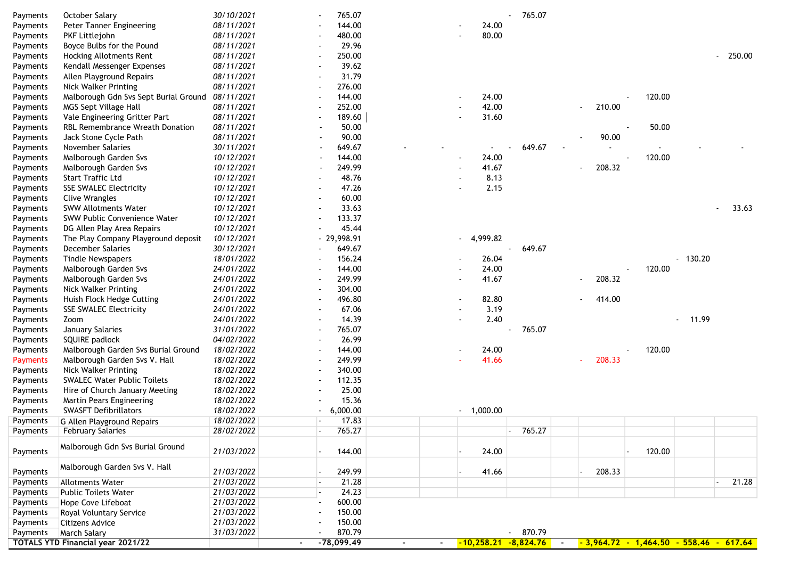| Payments | October Salary                                                  | 30/10/2021 |        |                          | 765.07       |                     |                |             | 765.07 |                          |        |                                                                      |                         |                         |
|----------|-----------------------------------------------------------------|------------|--------|--------------------------|--------------|---------------------|----------------|-------------|--------|--------------------------|--------|----------------------------------------------------------------------|-------------------------|-------------------------|
| Payments | Peter Tanner Engineering                                        | 08/11/2021 |        |                          | 144.00       |                     |                | 24.00       |        |                          |        |                                                                      |                         |                         |
| Payments | PKF Littlejohn                                                  | 08/11/2021 |        |                          | 480.00       |                     |                | 80.00       |        |                          |        |                                                                      |                         |                         |
| Payments | Boyce Bulbs for the Pound                                       | 08/11/2021 |        |                          | 29.96        |                     |                |             |        |                          |        |                                                                      |                         |                         |
| Payments | Hocking Allotments Rent                                         | 08/11/2021 |        |                          | 250.00       |                     |                |             |        |                          |        |                                                                      |                         | $-250.00$               |
| Payments | Kendall Messenger Expenses                                      | 08/11/2021 |        |                          | 39.62        |                     |                |             |        |                          |        |                                                                      |                         |                         |
| Payments | Allen Playground Repairs                                        | 08/11/2021 |        |                          | 31.79        |                     |                |             |        |                          |        |                                                                      |                         |                         |
| Payments | Nick Walker Printing                                            | 08/11/2021 |        |                          | 276.00       |                     |                |             |        |                          |        |                                                                      |                         |                         |
| Payments | Malborough Gdn Svs Sept Burial Ground                           | 08/11/2021 |        |                          | 144.00       |                     |                | 24.00       |        |                          |        | 120.00                                                               |                         |                         |
| Payments | MGS Sept Village Hall                                           | 08/11/2021 |        |                          | 252.00       |                     |                | 42.00       |        | $\overline{\phantom{a}}$ | 210.00 |                                                                      |                         |                         |
| Payments | Vale Engineering Gritter Part                                   | 08/11/2021 |        |                          | 189.60       |                     |                | 31.60       |        |                          |        |                                                                      |                         |                         |
| Payments | RBL Remembrance Wreath Donation                                 | 08/11/2021 |        | ÷,                       | 50.00        |                     |                |             |        |                          |        | 50.00                                                                |                         |                         |
|          | Jack Stone Cycle Path                                           | 08/11/2021 |        | $\overline{\phantom{a}}$ | 90.00        |                     |                |             |        |                          | 90.00  |                                                                      |                         |                         |
| Payments |                                                                 |            |        |                          |              |                     |                |             |        |                          |        |                                                                      |                         |                         |
| Payments | November Salaries                                               | 30/11/2021 |        |                          | 649.67       |                     |                |             | 649.67 |                          |        |                                                                      |                         |                         |
| Payments | Malborough Garden Svs                                           | 10/12/2021 |        |                          | 144.00       |                     |                | 24.00       |        |                          |        | 120.00                                                               |                         |                         |
| Payments | Malborough Garden Svs                                           | 10/12/2021 |        |                          | 249.99       |                     |                | 41.67       |        | $\overline{\phantom{a}}$ | 208.32 |                                                                      |                         |                         |
| Payments | <b>Start Traffic Ltd</b>                                        | 10/12/2021 |        |                          | 48.76        |                     |                | 8.13        |        |                          |        |                                                                      |                         |                         |
| Payments | <b>SSE SWALEC Electricity</b>                                   | 10/12/2021 |        |                          | 47.26        |                     |                | 2.15        |        |                          |        |                                                                      |                         |                         |
| Payments | Clive Wrangles                                                  | 10/12/2021 |        |                          | 60.00        |                     |                |             |        |                          |        |                                                                      |                         |                         |
| Payments | <b>SWW Allotments Water</b>                                     | 10/12/2021 |        | $\overline{\phantom{a}}$ | 33.63        |                     |                |             |        |                          |        |                                                                      |                         | 33.63<br>$\blacksquare$ |
| Payments | SWW Public Convenience Water                                    | 10/12/2021 |        |                          | 133.37       |                     |                |             |        |                          |        |                                                                      |                         |                         |
| Payments | DG Allen Play Area Repairs                                      | 10/12/2021 |        |                          | 45.44        |                     |                |             |        |                          |        |                                                                      |                         |                         |
| Payments | The Play Company Playground deposit                             | 10/12/2021 |        |                          | $-29,998.91$ |                     |                | 4,999.82    |        |                          |        |                                                                      |                         |                         |
| Payments | December Salaries                                               | 30/12/2021 |        |                          | 649.67       |                     |                |             | 649.67 |                          |        |                                                                      |                         |                         |
| Payments | <b>Tindle Newspapers</b>                                        | 18/01/2022 |        |                          | 156.24       |                     |                | 26.04       |        |                          |        |                                                                      | $-130.20$               |                         |
| Payments | Malborough Garden Svs                                           | 24/01/2022 |        |                          | 144.00       |                     |                | 24.00       |        |                          |        | 120.00                                                               |                         |                         |
| Payments | Malborough Garden Svs                                           | 24/01/2022 |        |                          | 249.99       |                     |                | 41.67       |        | ٠                        | 208.32 |                                                                      |                         |                         |
| Payments | Nick Walker Printing                                            | 24/01/2022 |        |                          | 304.00       |                     |                |             |        |                          |        |                                                                      |                         |                         |
| Payments | Huish Flock Hedge Cutting                                       | 24/01/2022 |        |                          | 496.80       |                     |                | 82.80       |        |                          | 414.00 |                                                                      |                         |                         |
| Payments | <b>SSE SWALEC Electricity</b>                                   | 24/01/2022 |        | $\overline{\phantom{a}}$ | 67.06        |                     |                | 3.19        |        |                          |        |                                                                      |                         |                         |
| Payments | Zoom                                                            | 24/01/2022 |        | $\overline{\phantom{a}}$ | 14.39        |                     | $\blacksquare$ | 2.40        |        |                          |        |                                                                      | 11.99<br>$\blacksquare$ |                         |
| Payments | January Salaries                                                | 31/01/2022 |        |                          | 765.07       |                     |                |             | 765.07 |                          |        |                                                                      |                         |                         |
| Payments | SQUIRE padlock                                                  | 04/02/2022 |        |                          | 26.99        |                     |                |             |        |                          |        |                                                                      |                         |                         |
| Payments | Malborough Garden Svs Burial Ground                             | 18/02/2022 |        |                          | 144.00       |                     |                | 24.00       |        |                          |        | 120.00                                                               |                         |                         |
| Payments | Malborough Garden Svs V. Hall                                   | 18/02/2022 |        |                          | 249.99       |                     |                | 41.66       |        | ÷.                       | 208.33 |                                                                      |                         |                         |
| Payments | Nick Walker Printing                                            | 18/02/2022 |        |                          | 340.00       |                     |                |             |        |                          |        |                                                                      |                         |                         |
| Payments | <b>SWALEC Water Public Toilets</b>                              | 18/02/2022 |        |                          | 112.35       |                     |                |             |        |                          |        |                                                                      |                         |                         |
| Payments | Hire of Church January Meeting                                  | 18/02/2022 |        |                          | 25.00        |                     |                |             |        |                          |        |                                                                      |                         |                         |
|          |                                                                 |            |        |                          | 15.36        |                     |                |             |        |                          |        |                                                                      |                         |                         |
| Payments | Martin Pears Engineering                                        | 18/02/2022 |        |                          |              |                     |                | $-1,000.00$ |        |                          |        |                                                                      |                         |                         |
| Payments | <b>SWASFT Defibrillators</b>                                    | 18/02/2022 |        |                          | 6,000.00     |                     |                |             |        |                          |        |                                                                      |                         |                         |
| Payments | G Allen Playground Repairs                                      | 18/02/2022 |        | $\overline{\phantom{a}}$ | 17.83        |                     |                |             |        |                          |        |                                                                      |                         |                         |
| Payments | <b>February Salaries</b>                                        | 28/02/2022 |        |                          | 765.27       |                     |                |             | 765.27 |                          |        |                                                                      |                         |                         |
| Payments | Malborough Gdn Svs Burial Ground                                | 21/03/2022 |        |                          | 144.00       |                     |                | 24.00       |        |                          |        | 120.00                                                               |                         |                         |
|          |                                                                 |            |        |                          |              |                     |                |             |        |                          |        |                                                                      |                         |                         |
| Payments | Malborough Garden Svs V. Hall                                   | 21/03/2022 |        |                          | 249.99       |                     |                | 41.66       |        |                          | 208.33 |                                                                      |                         |                         |
| Payments | <b>Allotments Water</b>                                         | 21/03/2022 |        |                          | 21.28        |                     |                |             |        |                          |        |                                                                      |                         | 21.28                   |
| Payments | <b>Public Toilets Water</b>                                     | 21/03/2022 |        |                          | 24.23        |                     |                |             |        |                          |        |                                                                      |                         |                         |
| Payments | Hope Cove Lifeboat                                              | 21/03/2022 |        |                          | 600.00       |                     |                |             |        |                          |        |                                                                      |                         |                         |
| Payments | Royal Voluntary Service                                         | 21/03/2022 |        |                          | 150.00       |                     |                |             |        |                          |        |                                                                      |                         |                         |
| Payments |                                                                 | 21/03/2022 |        |                          | 150.00       |                     |                |             |        |                          |        |                                                                      |                         |                         |
|          | Citizens Advice                                                 | 31/03/2022 |        |                          | 870.79       |                     |                |             | 870.79 |                          |        |                                                                      |                         |                         |
| Payments | <b>March Salary</b><br><b>TOTALS YTD Financial year 2021/22</b> |            | $\sim$ |                          | $-78,099.49$ | $\sim 10$<br>$\sim$ |                |             |        |                          |        | $-10,258.21$ $-8,824.76$ $-3,964.72$ $-1,464.50$ $-558.46$ $-617.64$ |                         |                         |
|          |                                                                 |            |        |                          |              |                     |                |             |        |                          |        |                                                                      |                         |                         |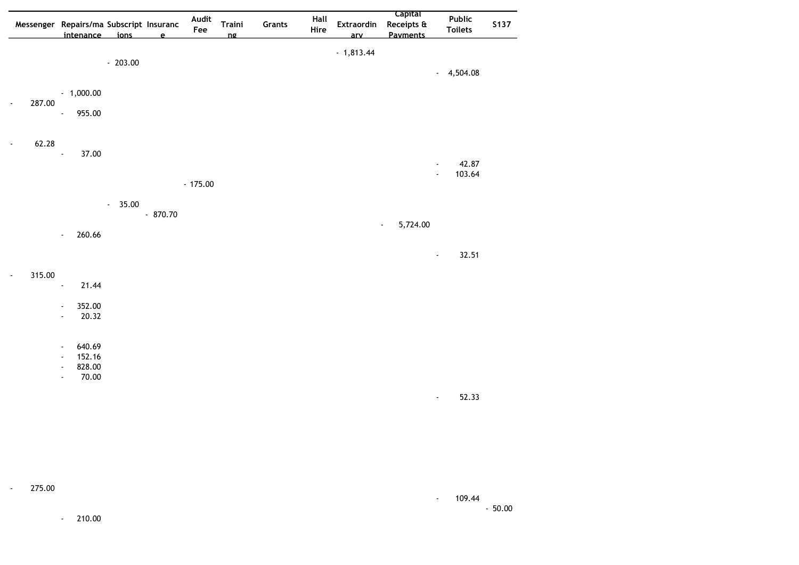|                                    | Messenger Repairs/ma Subscript Insuranc                                 |           |              | Audit<br>Fee | Traini    | Grants | Hall<br>Hire | <b>Extraordin</b> | <b>Capital</b><br>Receipts & | Public<br><b>Toilets</b>          | <b>S137</b> |
|------------------------------------|-------------------------------------------------------------------------|-----------|--------------|--------------|-----------|--------|--------------|-------------------|------------------------------|-----------------------------------|-------------|
|                                    | intenance ions                                                          |           | $\mathbf{e}$ |              | <u>nø</u> |        |              | arv               | <b>Payments</b>              |                                   |             |
|                                    |                                                                         | $-203.00$ |              |              |           |        |              | $-1,813.44$       |                              |                                   |             |
|                                    |                                                                         |           |              |              |           |        |              |                   |                              | 4,504.08<br>$\blacksquare$        |             |
|                                    | $-1,000.00$                                                             |           |              |              |           |        |              |                   |                              |                                   |             |
| 287.00<br>$\overline{\phantom{a}}$ |                                                                         |           |              |              |           |        |              |                   |                              |                                   |             |
|                                    | 955.00<br>$\blacksquare$                                                |           |              |              |           |        |              |                   |                              |                                   |             |
|                                    |                                                                         |           |              |              |           |        |              |                   |                              |                                   |             |
| 62.28<br>$\blacksquare$            | 37.00<br>$\overline{a}$                                                 |           |              |              |           |        |              |                   |                              |                                   |             |
|                                    |                                                                         |           |              |              |           |        |              |                   |                              | 42.87<br>Ĭ.                       |             |
|                                    |                                                                         |           |              | $-175.00$    |           |        |              |                   |                              | 103.64<br>$\blacksquare$          |             |
|                                    |                                                                         | $-35.00$  |              |              |           |        |              |                   |                              |                                   |             |
|                                    |                                                                         |           | $-870.70$    |              |           |        |              |                   |                              |                                   |             |
|                                    | 260.66<br>$\overline{\phantom{a}}$                                      |           |              |              |           |        |              |                   | 5,724.00<br>$\blacksquare$   |                                   |             |
|                                    |                                                                         |           |              |              |           |        |              |                   |                              |                                   |             |
|                                    |                                                                         |           |              |              |           |        |              |                   |                              | 32.51<br>$\overline{\phantom{a}}$ |             |
| 315.00<br>$\overline{\phantom{a}}$ |                                                                         |           |              |              |           |        |              |                   |                              |                                   |             |
|                                    | 21.44<br>$\overline{a}$                                                 |           |              |              |           |        |              |                   |                              |                                   |             |
|                                    | 352.00<br>$\overline{\phantom{a}}$                                      |           |              |              |           |        |              |                   |                              |                                   |             |
|                                    | 20.32<br>$\overline{a}$                                                 |           |              |              |           |        |              |                   |                              |                                   |             |
|                                    | 640.69<br>$\overline{a}$                                                |           |              |              |           |        |              |                   |                              |                                   |             |
|                                    | 152.16<br>$\overline{\phantom{a}}$                                      |           |              |              |           |        |              |                   |                              |                                   |             |
|                                    | 828.00<br>$\overline{\phantom{a}}$<br>70.00<br>$\overline{\phantom{a}}$ |           |              |              |           |        |              |                   |                              |                                   |             |
|                                    |                                                                         |           |              |              |           |        |              |                   |                              |                                   |             |
|                                    |                                                                         |           |              |              |           |        |              |                   |                              | 52.33<br>$\overline{\phantom{a}}$ |             |
|                                    |                                                                         |           |              |              |           |        |              |                   |                              |                                   |             |
|                                    |                                                                         |           |              |              |           |        |              |                   |                              |                                   |             |
|                                    |                                                                         |           |              |              |           |        |              |                   |                              |                                   |             |
|                                    |                                                                         |           |              |              |           |        |              |                   |                              |                                   |             |
|                                    |                                                                         |           |              |              |           |        |              |                   |                              |                                   |             |

275.00  $\omega_{\rm{eff}}$ 

 $- 109.44$  $-50.00$ 

 $-210.00$